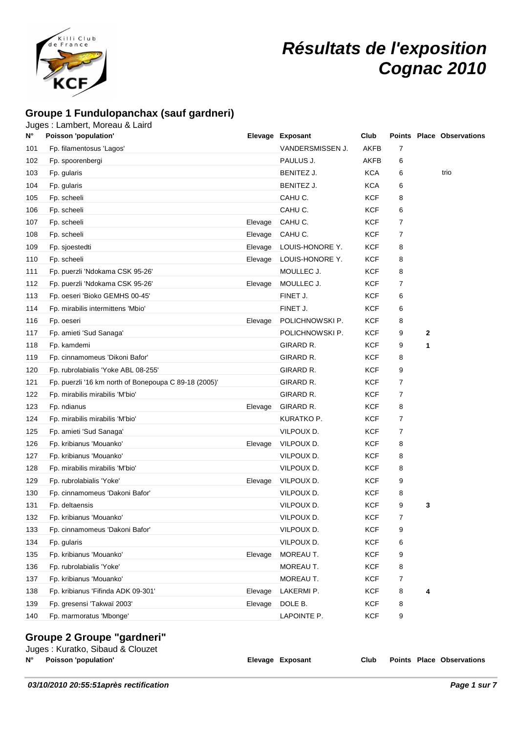

# **Résultats de l'exposition Cognac 2010**

### **Groupe 1 Fundulopanchax (sauf gardneri)**

### Juges : Lambert, Moreau & Laird

| N°  | Poisson 'population'                                  |         | Elevage Exposant | Club       |                |              | <b>Points Place Observations</b> |
|-----|-------------------------------------------------------|---------|------------------|------------|----------------|--------------|----------------------------------|
| 101 | Fp. filamentosus 'Lagos'                              |         | VANDERSMISSEN J. | AKFB       | 7              |              |                                  |
| 102 | Fp. spoorenbergi                                      |         | PAULUS J.        | AKFB       | 6              |              |                                  |
| 103 | Fp. gularis                                           |         | BENITEZ J.       | KCA        | 6              |              | trio                             |
| 104 | Fp. gularis                                           |         | BENITEZ J.       | <b>KCA</b> | 6              |              |                                  |
| 105 | Fp. scheeli                                           |         | CAHU C.          | <b>KCF</b> | 8              |              |                                  |
| 106 | Fp. scheeli                                           |         | CAHU C.          | KCF        | 6              |              |                                  |
| 107 | Fp. scheeli                                           | Elevage | CAHU C.          | KCF        | $\overline{7}$ |              |                                  |
| 108 | Fp. scheeli                                           | Elevage | CAHU C.          | KCF        | $\overline{7}$ |              |                                  |
| 109 | Fp. sjoestedti                                        | Elevage | LOUIS-HONORE Y.  | <b>KCF</b> | 8              |              |                                  |
| 110 | Fp. scheeli                                           | Elevage | LOUIS-HONORE Y.  | KCF        | 8              |              |                                  |
| 111 | Fp. puerzli 'Ndokama CSK 95-26'                       |         | MOULLEC J.       | KCF        | 8              |              |                                  |
| 112 | Fp. puerzli 'Ndokama CSK 95-26'                       | Elevage | MOULLEC J.       | <b>KCF</b> | 7              |              |                                  |
| 113 | Fp. oeseri 'Bioko GEMHS 00-45'                        |         | FINET J.         | KCF        | 6              |              |                                  |
| 114 | Fp. mirabilis intermittens 'Mbio'                     |         | FINET J.         | KCF        | 6              |              |                                  |
| 116 | Fp. oeseri                                            | Elevage | POLICHNOWSKI P.  | KCF        | 8              |              |                                  |
| 117 | Fp. amieti 'Sud Sanaga'                               |         | POLICHNOWSKI P.  | <b>KCF</b> | 9              | $\mathbf{2}$ |                                  |
| 118 | Fp. kamdemi                                           |         | GIRARD R.        | KCF        | 9              | 1            |                                  |
| 119 | Fp. cinnamomeus 'Dikoni Bafor'                        |         | GIRARD R.        | KCF        | 8              |              |                                  |
| 120 | Fp. rubrolabialis 'Yoke ABL 08-255'                   |         | GIRARD R.        | KCF        | 9              |              |                                  |
| 121 | Fp. puerzli '16 km north of Bonepoupa C 89-18 (2005)' |         | GIRARD R.        | KCF        | $\overline{7}$ |              |                                  |
| 122 | Fp. mirabilis mirabilis 'M'bio'                       |         | GIRARD R.        | <b>KCF</b> | 7              |              |                                  |
| 123 | Fp. ndianus                                           | Elevage | GIRARD R.        | KCF        | 8              |              |                                  |
| 124 | Fp. mirabilis mirabilis 'M'bio'                       |         | KURATKO P.       | KCF        | $\overline{7}$ |              |                                  |
| 125 | Fp. amieti 'Sud Sanaga'                               |         | VILPOUX D.       | KCF        | $\overline{7}$ |              |                                  |
| 126 | Fp. kribianus 'Mouanko'                               | Elevage | VILPOUX D.       | KCF        | 8              |              |                                  |
| 127 | Fp. kribianus 'Mouanko'                               |         | VILPOUX D.       | KCF        | 8              |              |                                  |
| 128 | Fp. mirabilis mirabilis 'M'bio'                       |         | VILPOUX D.       | <b>KCF</b> | 8              |              |                                  |
| 129 | Fp. rubrolabialis 'Yoke'                              | Elevage | VILPOUX D.       | KCF        | 9              |              |                                  |
| 130 | Fp. cinnamomeus 'Dakoni Bafor'                        |         | VILPOUX D.       | KCF        | 8              |              |                                  |
| 131 | Fp. deltaensis                                        |         | VILPOUX D.       | KCF        | 9              | 3            |                                  |
| 132 | Fp. kribianus 'Mouanko'                               |         | VILPOUX D.       | KCF        | $\overline{7}$ |              |                                  |
| 133 | Fp. cinnamomeus 'Dakoni Bafor'                        |         | VILPOUX D.       | <b>KCF</b> | 9              |              |                                  |
| 134 | Fp. gularis                                           |         | VILPOUX D.       | <b>KCF</b> | 6              |              |                                  |
| 135 | Fp. kribianus 'Mouanko'                               | Elevage | MOREAU T.        | <b>KCF</b> | 9              |              |                                  |
| 136 | Fp. rubrolabialis 'Yoke'                              |         | MOREAU T.        | <b>KCF</b> | 8              |              |                                  |
| 137 | Fp. kribianus 'Mouanko'                               |         | MOREAU T.        | <b>KCF</b> | 7              |              |                                  |
| 138 | Fp. kribianus 'Fifinda ADK 09-301'                    | Elevage | LAKERMI P.       | <b>KCF</b> | 8              | 4            |                                  |
| 139 | Fp. gresensi 'Takwaï 2003'                            | Elevage | DOLE B.          | <b>KCF</b> | 8              |              |                                  |
| 140 | Fp. marmoratus 'Mbonge'                               |         | LAPOINTE P.      | <b>KCF</b> | 9              |              |                                  |
|     | na 9 Crauna "nardnari"                                |         |                  |            |                |              |                                  |

### **Groupe 2 Groupe "gardneri"**

|      | Juges: Kuratko, Sibaud & Clouzet |                  |      |  |                           |
|------|----------------------------------|------------------|------|--|---------------------------|
| N° I | <b>Poisson 'population'</b>      | Elevage Exposant | Club |  | Points Place Observations |
|      |                                  |                  |      |  |                           |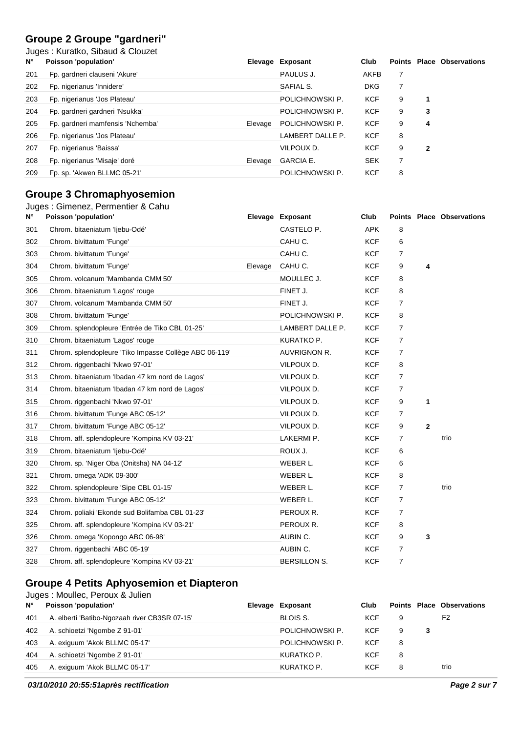### **Groupe 2 Groupe "gardneri"**

Juges : Kuratko, Sibaud & Clouzet

| $N^{\circ}$ | Poisson 'population'             |         | Elevage Exposant | Club       |   |              | <b>Points Place Observations</b> |
|-------------|----------------------------------|---------|------------------|------------|---|--------------|----------------------------------|
| 201         | Fp. gardneri clauseni 'Akure'    |         | PAULUS J.        | AKFB       | 7 |              |                                  |
| 202         | Fp. nigerianus 'Innidere'        |         | SAFIAL S.        | <b>DKG</b> | 7 |              |                                  |
| 203         | Fp. nigerianus 'Jos Plateau'     |         | POLICHNOWSKI P.  | <b>KCF</b> | 9 | 1            |                                  |
| 204         | Fp. gardneri gardneri 'Nsukka'   |         | POLICHNOWSKI P.  | <b>KCF</b> | 9 | 3            |                                  |
| 205         | Fp. gardneri mamfensis 'Nchemba' | Elevage | POLICHNOWSKI P.  | <b>KCF</b> | 9 | 4            |                                  |
| 206         | Fp. nigerianus 'Jos Plateau'     |         | LAMBERT DALLE P. | <b>KCF</b> | 8 |              |                                  |
| 207         | Fp. nigerianus 'Baissa'          |         | VILPOUX D.       | <b>KCF</b> | 9 | $\mathbf{2}$ |                                  |
| 208         | Fp. nigerianus 'Misaje' doré     | Elevage | <b>GARCIA E.</b> | <b>SEK</b> |   |              |                                  |
| 209         | Fp. sp. 'Akwen BLLMC 05-21'      |         | POLICHNOWSKI P.  | <b>KCF</b> | 8 |              |                                  |

### **Groupe 3 Chromaphyosemion**

| Juges: Gimenez, Permentier & Cahu |  |  |  |
|-----------------------------------|--|--|--|
|-----------------------------------|--|--|--|

| N°  | Poisson 'population'                                   |         | Elevage Exposant    | Club       |                |              | <b>Points Place Observations</b> |
|-----|--------------------------------------------------------|---------|---------------------|------------|----------------|--------------|----------------------------------|
| 301 | Chrom. bitaeniatum 'ljebu-Odé'                         |         | CASTELO P.          | <b>APK</b> | 8              |              |                                  |
| 302 | Chrom. bivittatum 'Funge'                              |         | CAHU C.             | <b>KCF</b> | 6              |              |                                  |
| 303 | Chrom. bivittatum 'Funge'                              |         | CAHU C.             | <b>KCF</b> | 7              |              |                                  |
| 304 | Chrom. bivittatum 'Funge'                              | Elevage | CAHU C.             | <b>KCF</b> | 9              | 4            |                                  |
| 305 | Chrom. volcanum 'Mambanda CMM 50'                      |         | MOULLEC J.          | <b>KCF</b> | 8              |              |                                  |
| 306 | Chrom. bitaeniatum 'Lagos' rouge                       |         | FINET J.            | <b>KCF</b> | 8              |              |                                  |
| 307 | Chrom. volcanum 'Mambanda CMM 50'                      |         | FINET J.            | <b>KCF</b> | 7              |              |                                  |
| 308 | Chrom. bivittatum 'Funge'                              |         | POLICHNOWSKI P.     | <b>KCF</b> | 8              |              |                                  |
| 309 | Chrom. splendopleure 'Entrée de Tiko CBL 01-25'        |         | LAMBERT DALLE P.    | <b>KCF</b> | 7              |              |                                  |
| 310 | Chrom. bitaeniatum 'Lagos' rouge                       |         | KURATKO P.          | <b>KCF</b> | 7              |              |                                  |
| 311 | Chrom. splendopleure 'Tiko Impasse Collège ABC 06-119' |         | AUVRIGNON R.        | <b>KCF</b> | 7              |              |                                  |
| 312 | Chrom. riggenbachi 'Nkwo 97-01'                        |         | VILPOUX D.          | <b>KCF</b> | 8              |              |                                  |
| 313 | Chrom. bitaeniatum 'Ibadan 47 km nord de Lagos'        |         | VILPOUX D.          | <b>KCF</b> | $\overline{7}$ |              |                                  |
| 314 | Chrom. bitaeniatum 'Ibadan 47 km nord de Lagos'        |         | VILPOUX D.          | <b>KCF</b> | $\overline{7}$ |              |                                  |
| 315 | Chrom. riggenbachi 'Nkwo 97-01'                        |         | VILPOUX D.          | <b>KCF</b> | 9              | 1            |                                  |
| 316 | Chrom. bivittatum 'Funge ABC 05-12'                    |         | VILPOUX D.          | <b>KCF</b> | $\overline{7}$ |              |                                  |
| 317 | Chrom. bivittatum 'Funge ABC 05-12'                    |         | VILPOUX D.          | <b>KCF</b> | 9              | $\mathbf{2}$ |                                  |
| 318 | Chrom. aff. splendopleure 'Kompina KV 03-21'           |         | LAKERMI P.          | <b>KCF</b> | 7              |              | trio                             |
| 319 | Chrom. bitaeniatum 'ljebu-Odé'                         |         | ROUX J.             | <b>KCF</b> | 6              |              |                                  |
| 320 | Chrom. sp. 'Niger Oba (Onitsha) NA 04-12'              |         | WEBER L.            | <b>KCF</b> | 6              |              |                                  |
| 321 | Chrom. omega 'ADK 09-300'                              |         | WEBER L.            | <b>KCF</b> | 8              |              |                                  |
| 322 | Chrom. splendopleure 'Sipe CBL 01-15'                  |         | WEBER L.            | <b>KCF</b> | $\overline{7}$ |              | trio                             |
| 323 | Chrom. bivittatum 'Funge ABC 05-12'                    |         | WEBER L.            | <b>KCF</b> | $\overline{7}$ |              |                                  |
| 324 | Chrom. poliaki 'Ekonde sud Bolifamba CBL 01-23'        |         | PEROUX R.           | <b>KCF</b> | 7              |              |                                  |
| 325 | Chrom. aff. splendopleure 'Kompina KV 03-21'           |         | PEROUX R.           | <b>KCF</b> | 8              |              |                                  |
| 326 | Chrom. omega 'Kopongo ABC 06-98'                       |         | AUBIN C.            | <b>KCF</b> | 9              | 3            |                                  |
| 327 | Chrom. riggenbachi 'ABC 05-19'                         |         | AUBIN C.            | <b>KCF</b> | $\overline{7}$ |              |                                  |
| 328 | Chrom. aff. splendopleure 'Kompina KV 03-21'           |         | <b>BERSILLON S.</b> | <b>KCF</b> | 7              |              |                                  |

### **Groupe 4 Petits Aphyosemion et Diapteron**

| Ν°  | Poisson 'population'                          | Elevage Exposant | Club       |   | Points Place Observations |
|-----|-----------------------------------------------|------------------|------------|---|---------------------------|
| 401 | A. elberti 'Batibo-Ngozaah river CB3SR 07-15' | BLOIS S.         | <b>KCF</b> | 9 | F <sub>2</sub>            |
| 402 | A. schioetzi 'Ngombe Z 91-01'                 | POLICHNOWSKI P.  | <b>KCF</b> | 9 |                           |
| 403 | A. exiguum 'Akok BLLMC 05-17'                 | POLICHNOWSKI P.  | <b>KCF</b> | 8 |                           |
| 404 | A. schioetzi 'Ngombe Z 91-01'                 | KURATKO P.       | KCF        | 8 |                           |
| 405 | A. exiguum 'Akok BLLMC 05-17'                 | KURATKO P.       | KCF        | 8 | trio                      |
|     |                                               |                  |            |   |                           |

**03/10/2010 20:55:51après rectification Page 2 sur 7**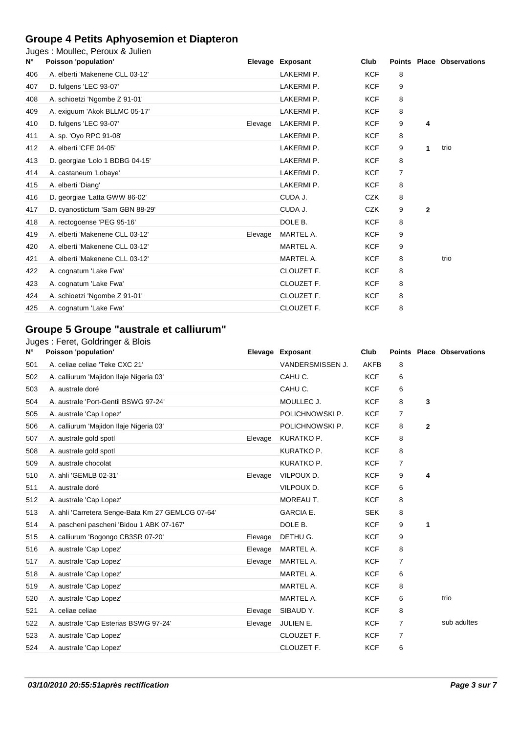# **Groupe 4 Petits Aphyosemion et Diapteron**

|  |  | Juges: Moullec, Peroux & Julien |
|--|--|---------------------------------|
|--|--|---------------------------------|

| $N^{\circ}$ | ougos : modifico, i croax a odificil<br>Poisson 'population' |         | Elevage Exposant | Club       |   |                | <b>Points Place Observations</b> |
|-------------|--------------------------------------------------------------|---------|------------------|------------|---|----------------|----------------------------------|
| 406         | A. elberti 'Makenene CLL 03-12'                              |         | LAKERMI P.       | <b>KCF</b> | 8 |                |                                  |
| 407         | D. fulgens 'LEC 93-07'                                       |         | LAKERMI P.       | <b>KCF</b> | 9 |                |                                  |
| 408         | A. schioetzi 'Ngombe Z 91-01'                                |         | LAKERMI P.       | <b>KCF</b> | 8 |                |                                  |
| 409         | A. exiguum 'Akok BLLMC 05-17'                                |         | LAKERMI P.       | <b>KCF</b> | 8 |                |                                  |
| 410         | D. fulgens 'LEC 93-07'                                       | Elevage | LAKERMI P.       | <b>KCF</b> | 9 | 4              |                                  |
| 411         | A. sp. 'Oyo RPC 91-08'                                       |         | LAKERMI P.       | <b>KCF</b> | 8 |                |                                  |
| 412         | A. elberti 'CFE 04-05'                                       |         | LAKERMI P.       | <b>KCF</b> | 9 | 1              | trio                             |
| 413         | D. georgiae 'Lolo 1 BDBG 04-15'                              |         | LAKERMI P.       | <b>KCF</b> | 8 |                |                                  |
| 414         | A. castaneum 'Lobaye'                                        |         | LAKERMI P.       | <b>KCF</b> | 7 |                |                                  |
| 415         | A. elberti 'Diang'                                           |         | LAKERMI P.       | <b>KCF</b> | 8 |                |                                  |
| 416         | D. georgiae 'Latta GWW 86-02'                                |         | CUDA J.          | <b>CZK</b> | 8 |                |                                  |
| 417         | D. cyanostictum 'Sam GBN 88-29'                              |         | CUDA J.          | <b>CZK</b> | 9 | $\overline{2}$ |                                  |
| 418         | A. rectogoense 'PEG 95-16'                                   |         | DOLE B.          | <b>KCF</b> | 8 |                |                                  |
| 419         | A. elberti 'Makenene CLL 03-12'                              | Elevage | MARTEL A.        | <b>KCF</b> | 9 |                |                                  |
| 420         | A. elberti 'Makenene CLL 03-12'                              |         | MARTEL A.        | <b>KCF</b> | 9 |                |                                  |
| 421         | A. elberti 'Makenene CLL 03-12'                              |         | MARTEL A.        | <b>KCF</b> | 8 |                | trio                             |
| 422         | A. cognatum 'Lake Fwa'                                       |         | CLOUZET F.       | <b>KCF</b> | 8 |                |                                  |
| 423         | A. cognatum 'Lake Fwa'                                       |         | CLOUZET F.       | <b>KCF</b> | 8 |                |                                  |
| 424         | A. schioetzi 'Ngombe Z 91-01'                                |         | CLOUZET F.       | <b>KCF</b> | 8 |                |                                  |
| 425         | A. cognatum 'Lake Fwa'                                       |         | CLOUZET F.       | <b>KCF</b> | 8 |                |                                  |
|             |                                                              |         |                  |            |   |                |                                  |

### **Groupe 5 Groupe "australe et calliurum"**

### Juges : Feret, Goldringer & Blois

| N°  | Poisson 'population'                              |         | Elevage Exposant | Club        |                |   | <b>Points Place Observations</b> |
|-----|---------------------------------------------------|---------|------------------|-------------|----------------|---|----------------------------------|
| 501 | A. celiae celiae 'Teke CXC 21'                    |         | VANDERSMISSEN J. | <b>AKFB</b> | 8              |   |                                  |
| 502 | A. calliurum 'Majidon Ilaje Nigeria 03'           |         | CAHU C.          | <b>KCF</b>  | 6              |   |                                  |
| 503 | A. australe doré                                  |         | CAHU C.          | <b>KCF</b>  | 6              |   |                                  |
| 504 | A. australe 'Port-Gentil BSWG 97-24'              |         | MOULLEC J.       | <b>KCF</b>  | 8              | 3 |                                  |
| 505 | A. australe 'Cap Lopez'                           |         | POLICHNOWSKI P.  | <b>KCF</b>  | 7              |   |                                  |
| 506 | A. calliurum 'Majidon Ilaje Nigeria 03'           |         | POLICHNOWSKI P.  | <b>KCF</b>  | 8              | 2 |                                  |
| 507 | A. australe gold spotl                            | Elevage | KURATKO P.       | <b>KCF</b>  | 8              |   |                                  |
| 508 | A. australe gold spotl                            |         | KURATKO P.       | <b>KCF</b>  | 8              |   |                                  |
| 509 | A. australe chocolat                              |         | KURATKO P.       | <b>KCF</b>  | 7              |   |                                  |
| 510 | A. ahli 'GEMLB 02-31'                             | Elevage | VILPOUX D.       | <b>KCF</b>  | 9              | 4 |                                  |
| 511 | A. australe doré                                  |         | VILPOUX D.       | <b>KCF</b>  | 6              |   |                                  |
| 512 | A. australe 'Cap Lopez'                           |         | MOREAU T.        | <b>KCF</b>  | 8              |   |                                  |
| 513 | A. ahli 'Carretera Senge-Bata Km 27 GEMLCG 07-64' |         | <b>GARCIA E.</b> | <b>SEK</b>  | 8              |   |                                  |
| 514 | A. pascheni pascheni 'Bidou 1 ABK 07-167'         |         | DOLE B.          | <b>KCF</b>  | 9              | 1 |                                  |
| 515 | A. calliurum 'Bogongo CB3SR 07-20'                | Elevage | DETHU G.         | <b>KCF</b>  | 9              |   |                                  |
| 516 | A. australe 'Cap Lopez'                           | Elevage | MARTEL A.        | <b>KCF</b>  | 8              |   |                                  |
| 517 | A. australe 'Cap Lopez'                           | Elevage | MARTEL A.        | <b>KCF</b>  | 7              |   |                                  |
| 518 | A. australe 'Cap Lopez'                           |         | MARTEL A.        | <b>KCF</b>  | 6              |   |                                  |
| 519 | A. australe 'Cap Lopez'                           |         | MARTEL A.        | <b>KCF</b>  | 8              |   |                                  |
| 520 | A. australe 'Cap Lopez'                           |         | MARTEL A.        | <b>KCF</b>  | 6              |   | trio                             |
| 521 | A. celiae celiae                                  | Elevage | SIBAUD Y.        | <b>KCF</b>  | 8              |   |                                  |
| 522 | A. australe 'Cap Esterias BSWG 97-24'             | Elevage | JULIEN E.        | <b>KCF</b>  | 7              |   | sub adultes                      |
| 523 | A. australe 'Cap Lopez'                           |         | CLOUZET F.       | <b>KCF</b>  | $\overline{7}$ |   |                                  |
| 524 | A. australe 'Cap Lopez'                           |         | CLOUZET F.       | <b>KCF</b>  | 6              |   |                                  |
|     |                                                   |         |                  |             |                |   |                                  |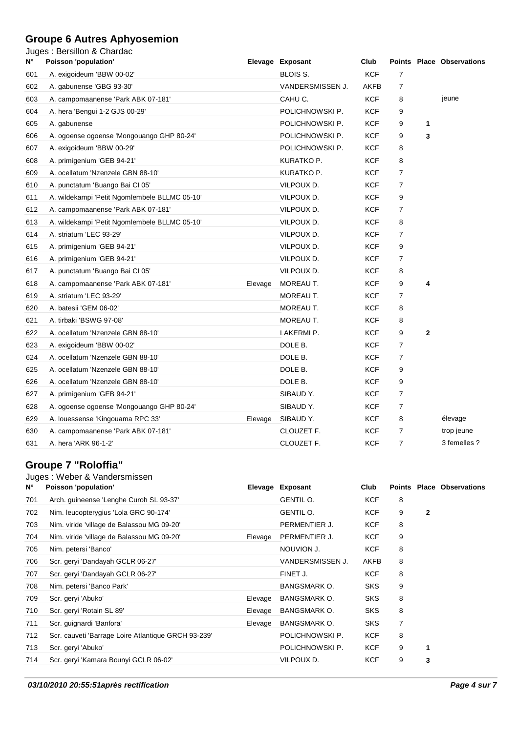### **Groupe 6 Autres Aphyosemion**

Juges : Bersillon & Chardac

| N۰  | Poisson 'population'                          |         | Elevage Exposant | Club       |                |              | <b>Points Place Observations</b> |
|-----|-----------------------------------------------|---------|------------------|------------|----------------|--------------|----------------------------------|
| 601 | A. exigoideum 'BBW 00-02'                     |         | BLOIS S.         | <b>KCF</b> | $\overline{7}$ |              |                                  |
| 602 | A. gabunense 'GBG 93-30'                      |         | VANDERSMISSEN J. | AKFB       | $\overline{7}$ |              |                                  |
| 603 | A. campomaanense 'Park ABK 07-181'            |         | CAHU C.          | <b>KCF</b> | 8              |              | jeune                            |
| 604 | A. hera 'Bengui 1-2 GJS 00-29'                |         | POLICHNOWSKI P.  | <b>KCF</b> | 9              |              |                                  |
| 605 | A. gabunense                                  |         | POLICHNOWSKI P.  | <b>KCF</b> | 9              | 1            |                                  |
| 606 | A. ogoense ogoense 'Mongouango GHP 80-24'     |         | POLICHNOWSKI P.  | <b>KCF</b> | 9              | 3            |                                  |
| 607 | A. exigoideum 'BBW 00-29'                     |         | POLICHNOWSKI P.  | <b>KCF</b> | 8              |              |                                  |
| 608 | A. primigenium 'GEB 94-21'                    |         | KURATKO P.       | <b>KCF</b> | 8              |              |                                  |
| 609 | A. ocellatum 'Nzenzele GBN 88-10'             |         | KURATKO P.       | KCF        | 7              |              |                                  |
| 610 | A. punctatum 'Buango Bai Cl 05'               |         | VILPOUX D.       | <b>KCF</b> | $\overline{7}$ |              |                                  |
| 611 | A. wildekampi 'Petit Ngomlembele BLLMC 05-10' |         | VILPOUX D.       | KCF        | 9              |              |                                  |
| 612 | A. campomaanense 'Park ABK 07-181'            |         | VILPOUX D.       | <b>KCF</b> | 7              |              |                                  |
| 613 | A. wildekampi 'Petit Ngomlembele BLLMC 05-10' |         | VILPOUX D.       | KCF        | 8              |              |                                  |
| 614 | A. striatum 'LEC 93-29'                       |         | VILPOUX D.       | <b>KCF</b> | $\overline{7}$ |              |                                  |
| 615 | A. primigenium 'GEB 94-21'                    |         | VILPOUX D.       | KCF        | 9              |              |                                  |
| 616 | A. primigenium 'GEB 94-21'                    |         | VILPOUX D.       | <b>KCF</b> | $\overline{7}$ |              |                                  |
| 617 | A. punctatum 'Buango Bai Cl 05'               |         | VILPOUX D.       | <b>KCF</b> | 8              |              |                                  |
| 618 | A. campomaanense 'Park ABK 07-181'            | Elevage | MOREAU T.        | <b>KCF</b> | 9              | 4            |                                  |
| 619 | A. striatum 'LEC 93-29'                       |         | MOREAU T.        | KCF        | 7              |              |                                  |
| 620 | A. batesii 'GEM 06-02'                        |         | MOREAU T.        | <b>KCF</b> | 8              |              |                                  |
| 621 | A. tirbaki 'BSWG 97-08'                       |         | MOREAU T.        | <b>KCF</b> | 8              |              |                                  |
| 622 | A. ocellatum 'Nzenzele GBN 88-10'             |         | LAKERMI P.       | <b>KCF</b> | 9              | $\mathbf{2}$ |                                  |
| 623 | A. exigoideum 'BBW 00-02'                     |         | DOLE B.          | KCF        | $\overline{7}$ |              |                                  |
| 624 | A. ocellatum 'Nzenzele GBN 88-10'             |         | DOLE B.          | <b>KCF</b> | $\overline{7}$ |              |                                  |
| 625 | A. ocellatum 'Nzenzele GBN 88-10'             |         | DOLE B.          | <b>KCF</b> | 9              |              |                                  |
| 626 | A. ocellatum 'Nzenzele GBN 88-10'             |         | DOLE B.          | <b>KCF</b> | 9              |              |                                  |
| 627 | A. primigenium 'GEB 94-21'                    |         | SIBAUD Y.        | KCF        | $\overline{7}$ |              |                                  |
| 628 | A. ogoense ogoense 'Mongouango GHP 80-24'     |         | SIBAUD Y.        | KCF        | $\overline{7}$ |              |                                  |
| 629 | A. louessense 'Kingouama RPC 33'              | Elevage | SIBAUD Y.        | <b>KCF</b> | 8              |              | élevage                          |
| 630 | A. campomaanense 'Park ABK 07-181'            |         | CLOUZET F.       | KCF        | 7              |              | trop jeune                       |
| 631 | A. hera 'ARK 96-1-2'                          |         | CLOUZET F.       | <b>KCF</b> | $\overline{7}$ |              | 3 femelles ?                     |
|     |                                               |         |                  |            |                |              |                                  |

### **Groupe 7 "Roloffia"**

|     | Juges: Weber & Vandersmissen                        |         |                     |            |   |              |                                  |
|-----|-----------------------------------------------------|---------|---------------------|------------|---|--------------|----------------------------------|
| Ν°  | Poisson 'population'                                |         | Elevage Exposant    | Club       |   |              | <b>Points Place Observations</b> |
| 701 | Arch. guineense 'Lenghe Curoh SL 93-37'             |         | GENTIL O.           | <b>KCF</b> | 8 |              |                                  |
| 702 | Nim. leucopterygius 'Lola GRC 90-174'               |         | GENTIL O.           | <b>KCF</b> | 9 | $\mathbf{2}$ |                                  |
| 703 | Nim. viride 'village de Balassou MG 09-20'          |         | PERMENTIER J.       | <b>KCF</b> | 8 |              |                                  |
| 704 | Nim. viride 'village de Balassou MG 09-20'          | Elevage | PERMENTIER J.       | <b>KCF</b> | 9 |              |                                  |
| 705 | Nim. petersi 'Banco'                                |         | NOUVION J.          | KCF        | 8 |              |                                  |
| 706 | Scr. geryi 'Dandayah GCLR 06-27'                    |         | VANDERSMISSEN J.    | AKFB       | 8 |              |                                  |
| 707 | Scr. geryi 'Dandayah GCLR 06-27'                    |         | FINET J.            | <b>KCF</b> | 8 |              |                                  |
| 708 | Nim. petersi 'Banco Park'                           |         | BANGSMARK O.        | <b>SKS</b> | 9 |              |                                  |
| 709 | Scr. geryi 'Abuko'                                  | Elevage | <b>BANGSMARK O.</b> | <b>SKS</b> | 8 |              |                                  |
| 710 | Scr. geryi 'Rotain SL 89'                           | Elevage | <b>BANGSMARK O.</b> | <b>SKS</b> | 8 |              |                                  |
| 711 | Scr. guignardi 'Banfora'                            | Elevage | <b>BANGSMARK O.</b> | <b>SKS</b> | 7 |              |                                  |
| 712 | Scr. cauveti 'Barrage Loire Atlantique GRCH 93-239' |         | POLICHNOWSKI P.     | <b>KCF</b> | 8 |              |                                  |
| 713 | Scr. geryi 'Abuko'                                  |         | POLICHNOWSKI P.     | <b>KCF</b> | 9 | 1            |                                  |
| 714 | Scr. geryi 'Kamara Bounyi GCLR 06-02'               |         | VILPOUX D.          | <b>KCF</b> | 9 | 3            |                                  |
|     |                                                     |         |                     |            |   |              |                                  |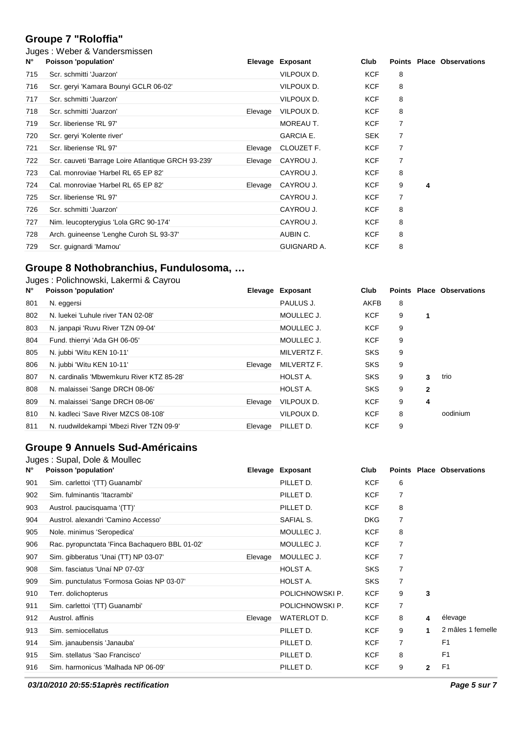# **Groupe 7 "Roloffia"**

### Juges : Weber & Vandersmissen

| $N^{\circ}$ | Poisson 'population'                                |         | Elevage Exposant   | Club       |   |   | <b>Points Place Observations</b> |
|-------------|-----------------------------------------------------|---------|--------------------|------------|---|---|----------------------------------|
| 715         | Scr. schmitti 'Juarzon'                             |         | VILPOUX D.         | KCF        | 8 |   |                                  |
| 716         | Scr. geryi 'Kamara Bounyi GCLR 06-02'               |         | VILPOUX D.         | KCF        | 8 |   |                                  |
| 717         | Scr. schmitti 'Juarzon'                             |         | VILPOUX D.         | KCF        | 8 |   |                                  |
| 718         | Scr. schmitti 'Juarzon'                             | Elevage | VILPOUX D.         | KCF        | 8 |   |                                  |
| 719         | Scr. liberiense 'RL 97'                             |         | MOREAU T.          | KCF        | 7 |   |                                  |
| 720         | Scr. geryi 'Kolente river'                          |         | <b>GARCIA E.</b>   | <b>SEK</b> | 7 |   |                                  |
| 721         | Scr. liberiense 'RL 97'                             | Elevage | CLOUZET F.         | KCF        | 7 |   |                                  |
| 722         | Scr. cauveti 'Barrage Loire Atlantique GRCH 93-239' | Elevage | CAYROU J.          | KCF        | 7 |   |                                  |
| 723         | Cal. monroviae 'Harbel RL 65 EP 82'                 |         | CAYROU J.          | <b>KCF</b> | 8 |   |                                  |
| 724         | Cal. monroviae 'Harbel RL 65 EP 82'                 | Elevage | CAYROU J.          | KCF        | 9 | 4 |                                  |
| 725         | Scr. liberiense 'RL 97'                             |         | CAYROU J.          | KCF        | 7 |   |                                  |
| 726         | Scr. schmitti 'Juarzon'                             |         | CAYROU J.          | KCF        | 8 |   |                                  |
| 727         | Nim. leucopterygius 'Lola GRC 90-174'               |         | CAYROU J.          | KCF        | 8 |   |                                  |
| 728         | Arch. guineense 'Lenghe Curoh SL 93-37'             |         | AUBIN C.           | KCF        | 8 |   |                                  |
| 729         | Scr. quignardi 'Mamou'                              |         | <b>GUIGNARD A.</b> | <b>KCF</b> | 8 |   |                                  |

### **Groupe 8 Nothobranchius, Fundulosoma, …**

|     | Juges: Polichnowski, Lakermi & Cayrou     |         |                  |            |   |              |                                  |
|-----|-------------------------------------------|---------|------------------|------------|---|--------------|----------------------------------|
| Ν°  | Poisson 'population'                      |         | Elevage Exposant | Club       |   |              | <b>Points Place Observations</b> |
| 801 | N. eggersi                                |         | PAULUS J.        | AKFB       | 8 |              |                                  |
| 802 | N. luekei 'Luhule river TAN 02-08'        |         | MOULLEC J.       | <b>KCF</b> | 9 | 1            |                                  |
| 803 | N. janpapi 'Ruvu River TZN 09-04'         |         | MOULLEC J.       | <b>KCF</b> | 9 |              |                                  |
| 804 | Fund. thierryi 'Ada GH 06-05'             |         | MOULLEC J.       | <b>KCF</b> | 9 |              |                                  |
| 805 | N. jubbi 'Witu KEN 10-11'                 |         | MILVERTZ F.      | <b>SKS</b> | 9 |              |                                  |
| 806 | N. jubbi 'Witu KEN 10-11'                 | Elevage | MILVERTZ F.      | <b>SKS</b> | 9 |              |                                  |
| 807 | N. cardinalis 'Mbwemkuru River KTZ 85-28' |         | HOLST A.         | <b>SKS</b> | 9 | 3            | trio                             |
| 808 | N. malaissei 'Sange DRCH 08-06'           |         | HOLST A.         | <b>SKS</b> | 9 | $\mathbf{2}$ |                                  |
| 809 | N. malaissei 'Sange DRCH 08-06'           | Elevage | VILPOUX D.       | <b>KCF</b> | 9 | 4            |                                  |
| 810 | N. kadleci 'Save River MZCS 08-108'       |         | VILPOUX D.       | <b>KCF</b> | 8 |              | oodinium                         |
| 811 | N. ruudwildekampi 'Mbezi River TZN 09-9'  | Elevage | PILLET D.        | <b>KCF</b> | 9 |              |                                  |

#### **Groupe 9 Annuels Sud-Américains** Juges : Supal, Dole & Moullec

| $N^{\circ}$ | Poisson 'population'                           |         | Elevage Exposant | Club       | <b>Points</b>  |              | <b>Place Observations</b> |
|-------------|------------------------------------------------|---------|------------------|------------|----------------|--------------|---------------------------|
| 901         | Sim. carlettoi '(TT) Guanambi'                 |         | PILLET D.        | <b>KCF</b> | 6              |              |                           |
| 902         | Sim. fulminantis 'Itacrambi'                   |         | PILLET D.        | KCF        | 7              |              |                           |
| 903         | Austrol. paucisquama '(TT)'                    |         | PILLET D.        | <b>KCF</b> | 8              |              |                           |
| 904         | Austrol, alexandri 'Camino Accesso'            |         | SAFIAL S.        | <b>DKG</b> | 7              |              |                           |
| 905         | Nole. minimus 'Seropedica'                     |         | MOULLEC J.       | <b>KCF</b> | 8              |              |                           |
| 906         | Rac. pyropunctata 'Finca Bachaquero BBL 01-02' |         | MOULLEC J.       | <b>KCF</b> | 7              |              |                           |
| 907         | Sim. gibberatus 'Unai (TT) NP 03-07'           | Elevage | MOULLEC J.       | <b>KCF</b> | 7              |              |                           |
| 908         | Sim. fasciatus 'Unaí NP 07-03'                 |         | HOLST A.         | <b>SKS</b> | 7              |              |                           |
| 909         | Sim. punctulatus 'Formosa Goias NP 03-07'      |         | HOLST A.         | <b>SKS</b> | 7              |              |                           |
| 910         | Terr. dolichopterus                            |         | POLICHNOWSKI P.  | <b>KCF</b> | 9              | 3            |                           |
| 911         | Sim. carlettoi '(TT) Guanambi'                 |         | POLICHNOWSKI P.  | <b>KCF</b> | $\overline{7}$ |              |                           |
| 912         | Austrol, affinis                               | Elevage | WATERLOT D.      | <b>KCF</b> | 8              | 4            | élevage                   |
| 913         | Sim. semiocellatus                             |         | PILLET D.        | KCF        | 9              |              | 2 mâles 1 femelle         |
| 914         | Sim. janaubensis 'Janauba'                     |         | PILLET D.        | <b>KCF</b> | 7              |              | F <sub>1</sub>            |
| 915         | Sim. stellatus 'Sao Francisco'                 |         | PILLET D.        | <b>KCF</b> | 8              |              | F <sub>1</sub>            |
| 916         | Sim. harmonicus 'Malhada NP 06-09'             |         | PILLET D.        | <b>KCF</b> | 9              | $\mathbf{2}$ | F <sub>1</sub>            |

**03/10/2010 20:55:51après rectification Page 5 sur 7**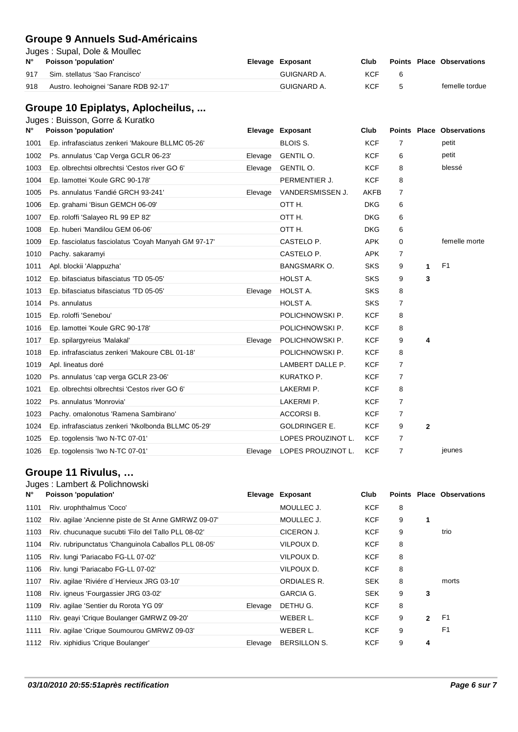### **Groupe 9 Annuels Sud-Américains**

Juges : Supal, Dole & Moullec

| N°  | Poisson 'population'                  | Elevage Exposant | Club |  | <b>Points Place Observations</b> |
|-----|---------------------------------------|------------------|------|--|----------------------------------|
| 917 | Sim. stellatus 'Sao Francisco'        | GUIGNARD A.      | KCF  |  |                                  |
| 918 | Austro. leohoignei 'Sanare RDB 92-17' | GUIGNARD A.      | KCF  |  | femelle tordue                   |

# **Groupe 10 Epiplatys, Aplocheilus, ...**

|  | Juges: Buisson, Gorre & Kuratko |  |  |
|--|---------------------------------|--|--|
|--|---------------------------------|--|--|

| N°   | Poisson 'population'                                |         | Elevage Exposant     | Club        |                |              | <b>Points Place Observations</b> |
|------|-----------------------------------------------------|---------|----------------------|-------------|----------------|--------------|----------------------------------|
| 1001 | Ep. infrafasciatus zenkeri 'Makoure BLLMC 05-26'    |         | BLOIS S.             | <b>KCF</b>  | 7              |              | petit                            |
| 1002 | Ps. annulatus 'Cap Verga GCLR 06-23'                | Elevage | GENTIL O.            | <b>KCF</b>  | 6              |              | petit                            |
| 1003 | Ep. olbrechtsi olbrechtsi 'Cestos river GO 6'       | Elevage | GENTIL O.            | <b>KCF</b>  | 8              |              | blessé                           |
| 1004 | Ep. lamottei 'Koule GRC 90-178'                     |         | PERMENTIER J.        | <b>KCF</b>  | 8              |              |                                  |
| 1005 | Ps. annulatus 'Fandié GRCH 93-241'                  | Elevage | VANDERSMISSEN J.     | <b>AKFB</b> | $\overline{7}$ |              |                                  |
| 1006 | Ep. grahami 'Bisun GEMCH 06-09'                     |         | OTT H.               | <b>DKG</b>  | 6              |              |                                  |
| 1007 | Ep. roloffi 'Salayeo RL 99 EP 82'                   |         | OTT H.               | <b>DKG</b>  | 6              |              |                                  |
| 1008 | Ep. huberi 'Mandilou GEM 06-06'                     |         | OTT H.               | <b>DKG</b>  | 6              |              |                                  |
| 1009 | Ep. fasciolatus fasciolatus 'Coyah Manyah GM 97-17' |         | CASTELO P.           | <b>APK</b>  | $\mathbf 0$    |              | femelle morte                    |
| 1010 | Pachy. sakaramyi                                    |         | CASTELO P.           | <b>APK</b>  | $\overline{7}$ |              |                                  |
| 1011 | Apl. blockii 'Alappuzha'                            |         | <b>BANGSMARK O.</b>  | <b>SKS</b>  | 9              | 1            | F <sub>1</sub>                   |
| 1012 | Ep. bifasciatus bifasciatus 'TD 05-05'              |         | HOLST A.             | <b>SKS</b>  | 9              | 3            |                                  |
| 1013 | Ep. bifasciatus bifasciatus 'TD 05-05'              | Elevage | HOLST A.             | <b>SKS</b>  | 8              |              |                                  |
| 1014 | Ps. annulatus                                       |         | HOLST A.             | <b>SKS</b>  | $\overline{7}$ |              |                                  |
| 1015 | Ep. roloffi 'Senebou'                               |         | POLICHNOWSKI P.      | <b>KCF</b>  | 8              |              |                                  |
| 1016 | Ep. lamottei 'Koule GRC 90-178'                     |         | POLICHNOWSKI P.      | <b>KCF</b>  | 8              |              |                                  |
| 1017 | Ep. spilargyreius 'Malakal'                         | Elevage | POLICHNOWSKI P.      | <b>KCF</b>  | 9              | 4            |                                  |
| 1018 | Ep. infrafasciatus zenkeri 'Makoure CBL 01-18'      |         | POLICHNOWSKI P.      | <b>KCF</b>  | 8              |              |                                  |
| 1019 | Apl. lineatus doré                                  |         | LAMBERT DALLE P.     | <b>KCF</b>  | $\overline{7}$ |              |                                  |
| 1020 | Ps. annulatus 'cap verga GCLR 23-06'                |         | KURATKO P.           | <b>KCF</b>  | $\overline{7}$ |              |                                  |
| 1021 | Ep. olbrechtsi olbrechtsi 'Cestos river GO 6'       |         | LAKERMI P.           | <b>KCF</b>  | 8              |              |                                  |
| 1022 | Ps. annulatus 'Monrovia'                            |         | LAKERMI P.           | <b>KCF</b>  | 7              |              |                                  |
| 1023 | Pachy. omalonotus 'Ramena Sambirano'                |         | ACCORSI B.           | <b>KCF</b>  | $\overline{7}$ |              |                                  |
| 1024 | Ep. infrafasciatus zenkeri 'Nkolbonda BLLMC 05-29'  |         | <b>GOLDRINGER E.</b> | <b>KCF</b>  | 9              | $\mathbf{2}$ |                                  |
| 1025 | Ep. togolensis 'Iwo N-TC 07-01'                     |         | LOPES PROUZINOT L.   | <b>KCF</b>  | $\overline{7}$ |              |                                  |
| 1026 | Ep. togolensis 'Iwo N-TC 07-01'                     | Elevage | LOPES PROUZINOT L.   | <b>KCF</b>  | 7              |              | jeunes                           |

# **Groupe 11 Rivulus, …**

### Juges : Lambert & Polichnowski

| Ν°   | Poisson 'population'                                 | Elevage | Exposant            | Club       |   |              | <b>Points Place Observations</b> |
|------|------------------------------------------------------|---------|---------------------|------------|---|--------------|----------------------------------|
| 1101 | Riv. urophthalmus 'Coco'                             |         | MOULLEC J.          | <b>KCF</b> | 8 |              |                                  |
| 1102 | Riv. agilae 'Ancienne piste de St Anne GMRWZ 09-07'  |         | MOULLEC J.          | <b>KCF</b> | 9 | 1            |                                  |
| 1103 | Riv. chucunaque sucubti 'Filo del Tallo PLL 08-02'   |         | CICERON J.          | <b>KCF</b> | 9 |              | trio                             |
| 1104 | Riv. rubripunctatus 'Changuinola Caballos PLL 08-05' |         | VILPOUX D.          | <b>KCF</b> | 8 |              |                                  |
| 1105 | Riv. lungi 'Pariacabo FG-LL 07-02'                   |         | VILPOUX D.          | <b>KCF</b> | 8 |              |                                  |
| 1106 | Riv. lungi 'Pariacabo FG-LL 07-02'                   |         | VILPOUX D.          | <b>KCF</b> | 8 |              |                                  |
| 1107 | Riv. agilae 'Riviére d'Hervieux JRG 03-10'           |         | ORDIALES R.         | <b>SEK</b> | 8 |              | morts                            |
| 1108 | Riv. igneus 'Fourgassier JRG 03-02'                  |         | <b>GARCIA G.</b>    | <b>SEK</b> | 9 | 3            |                                  |
| 1109 | Riv. agilae 'Sentier du Rorota YG 09'                | Elevage | DETHU G.            | <b>KCF</b> | 8 |              |                                  |
| 1110 | Riv. geayi 'Crique Boulanger GMRWZ 09-20'            |         | WEBER L.            | <b>KCF</b> | 9 | $\mathbf{2}$ | F <sub>1</sub>                   |
| 1111 | Riv. agilae 'Crique Soumourou GMRWZ 09-03'           |         | WEBER L.            | <b>KCF</b> | 9 |              | F <sub>1</sub>                   |
| 1112 | Riv. xiphidius 'Crique Boulanger'                    | Elevage | <b>BERSILLON S.</b> | <b>KCF</b> | 9 | 4            |                                  |